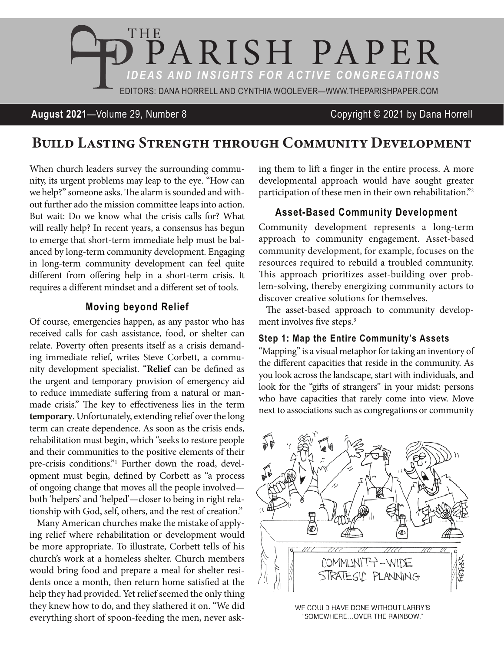

### **August 2021**—Volume 29, Number 8 Copyright © 2021 by Dana Horrell

# Build Lasting Strength through Community Development

When church leaders survey the surrounding community, its urgent problems may leap to the eye. "How can we help?" someone asks. The alarm is sounded and without further ado the mission committee leaps into action. But wait: Do we know what the crisis calls for? What will really help? In recent years, a consensus has begun to emerge that short-term immediate help must be balanced by long-term community development. Engaging in long-term community development can feel quite different from offering help in a short-term crisis. It requires a different mindset and a different set of tools.

#### **Moving beyond Relief**

Of course, emergencies happen, as any pastor who has received calls for cash assistance, food, or shelter can relate. Poverty often presents itself as a crisis demanding immediate relief, writes Steve Corbett, a community development specialist. "**Relief** can be defined as the urgent and temporary provision of emergency aid to reduce immediate suffering from a natural or manmade crisis." The key to effectiveness lies in the term **temporary**. Unfortunately, extending relief over the long term can create dependence. As soon as the crisis ends, rehabilitation must begin, which "seeks to restore people and their communities to the positive elements of their pre-crisis conditions." Further down the road, development must begin, defined by Corbett as "a process of ongoing change that moves all the people involved both 'helpers' and 'helped'—closer to being in right relationship with God, self, others, and the rest of creation."

Many American churches make the mistake of applying relief where rehabilitation or development would be more appropriate. To illustrate, Corbett tells of his church's work at a homeless shelter. Church members would bring food and prepare a meal for shelter residents once a month, then return home satisfied at the help they had provided. Yet relief seemed the only thing they knew how to do, and they slathered it on. "We did everything short of spoon-feeding the men, never asking them to lift a finger in the entire process. A more developmental approach would have sought greater participation of these men in their own rehabilitation."2

#### **Asset-Based Community Development**

Community development represents a long-term approach to community engagement. Asset-based community development, for example, focuses on the resources required to rebuild a troubled community. This approach prioritizes asset-building over problem-solving, thereby energizing community actors to discover creative solutions for themselves.

The asset-based approach to community development involves five steps.<sup>3</sup>

#### **Step 1: Map the Entire Community's Assets**

"Mapping" is a visual metaphor for taking an inventory of the different capacities that reside in the community. As you look across the landscape, start with individuals, and look for the "gifts of strangers" in your midst: persons who have capacities that rarely come into view. Move next to associations such as congregations or community



WE COULD HAVE DONE WITHOUT LARRY'S "SOMEWHERE...OVER THE RAINBOW."